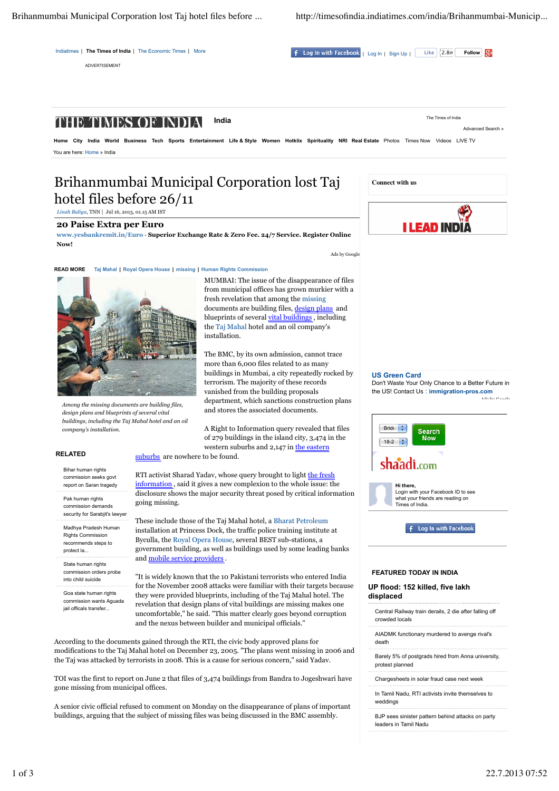Indiatimes | The Times of India | The Economic Times | More

ADVERTISEMENT

**Indiative India India India India India | The Times India India India India India India India India India India India India India India India India India India India India India India India India India India India India I** 

#### **India** The Times of India THE TIMES OF INDIA

Home City India World Business Tech Sports Entertainment Life & Style Women Hotklix Spirituality NRI Real Estate Photos Times Now Videos LIVE TV You are here: Home » India

# Brihanmumbai Municipal Corporation lost Taj hotel files before 26/11

*Linah Baliga*, TNN | Jul 16, 2013, 01.15 AM IST

## **20 Paise Extra per Euro**

**www.yesbankremit.in/Euro** - **Superior Exchange Rate & Zero Fee. 24/7 Service. Register Online Now!**

installation.

Ads by Google

**READ MORE Taj Mahal | Royal Opera House | missing | Human Rights Commission**



*Among the missing documents are building files, design plans and blueprints of several vital buildings, including the Taj Mahal hotel and an oil company's installation.*

buildings in Mumbai, a city repeatedly rocked by terrorism. The majority of these records vanished from the building proposals department, which sanctions construction plans and stores the associated documents.

A Right to Information query revealed that files of 279 buildings in the island city, 3,474 in the western suburbs and 2,147 in the eastern suburbs are nowhere to be found.

The BMC, by its own admission, cannot trace more than 6,000 files related to as many

MUMBAI: The issue of the disappearance of files from municipal offices has grown murkier with a fresh revelation that among the missing documents are building files, design plans and blueprints of several vital buildings, including the Taj Mahal hotel and an oil company's

#### **RELATED**

Bihar human rights commission seeks gover report on Saran tragedy

Pak human rights commission demands security for Sarabiit's lawyer

Madhya Pradesh Human Rights Commission recommends steps to protect la...

State human rights commission orders probe into child suicide

Goa state human rights commission wants Aguada jail officals transfer...

RTI activist Sharad Yadav, whose query brought to light the fresh information , said it gives a new complexion to the whole issue: the disclosure shows the major security threat posed by critical information going missing.

These include those of the Taj Mahal hotel, a Bharat Petroleum installation at Princess Dock, the traffic police training institute at Byculla, the Royal Opera House, several BEST sub-stations, a government building, as well as buildings used by some leading banks and mobile service providers .

"It is widely known that the 10 Pakistani terrorists who entered India for the November 2008 attacks were familiar with their targets because they were provided blueprints, including of the Taj Mahal hotel. The revelation that design plans of vital buildings are missing makes one uncomfortable," he said. "This matter clearly goes beyond corruption and the nexus between builder and municipal officials."

According to the documents gained through the RTI, the civic body approved plans for modifications to the Taj Mahal hotel on December 23, 2005. "The plans went missing in 2006 and the Taj was attacked by terrorists in 2008. This is a cause for serious concern," said Yadav.

TOI was the first to report on June 2 that files of 3,474 buildings from Bandra to Jogeshwari have gone missing from municipal offices.

A senior civic official refused to comment on Monday on the disappearance of plans of important buildings, arguing that the subject of missing files was being discussed in the BMC assembly.



Advanced Search »

#### **US Green Card**

Don't Waste Your Only Chance to a Better Future in the US! Contact Us : **immigration-pros.com** Ads by Google



**Hi there,**

Login with your Facebook ID to see what your friends are reading on Times of India.

f Log In with Facebook

#### **FEATURED TODAY IN INDIA**

**UP flood: 152 killed, five lakh displaced**

Central Railway train derails, 2 die after falling off crowded locals

AIADMK functionary murdered to avenge rival's death

Barely 5% of postgrads hired from Anna university, protest planned

Chargesheets in solar fraud case next week

In Tamil Nadu, RTI activists invite themselves to weddings

BJP sees sinister pattern behind attacks on party leaders in Tamil Nadu